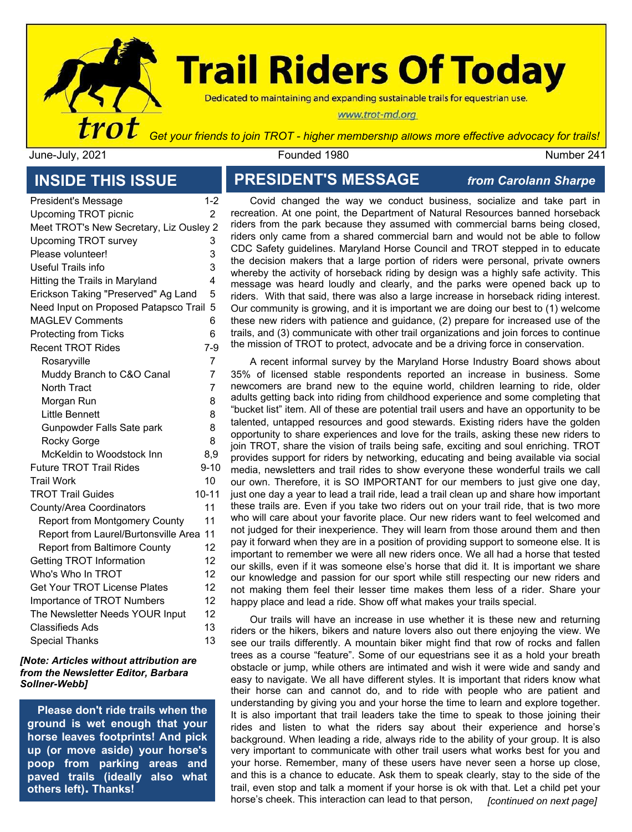

# **Trail Riders Of Today**

Dedicated to maintaining and expanding sustainable trails for equestrian use.

#### www.trot-md.org

June-July, 2021 Founded 1980 Number 241

# **INSIDE THIS ISSUE**

| President's Message                     | $1 - 2$        |
|-----------------------------------------|----------------|
| <b>Upcoming TROT picnic</b>             | 2              |
| Meet TROT's New Secretary, Liz Ousley 2 |                |
| Upcoming TROT survey                    | 3              |
| Please volunteer!                       | 3              |
| Useful Trails info                      | 3              |
| Hitting the Trails in Maryland          | 4              |
| Erickson Taking "Preserved" Ag Land     | 5              |
| Need Input on Proposed Patapsco Trail   | 5              |
| <b>MAGLEV Comments</b>                  | 6              |
| <b>Protecting from Ticks</b>            | 6              |
| <b>Recent TROT Rides</b>                | $7-9$          |
| Rosaryville                             | 7              |
| Muddy Branch to C&O Canal               | 7              |
| North Tract                             | $\overline{7}$ |
| Morgan Run                              | 8              |
| <b>Little Bennett</b>                   | 8              |
| Gunpowder Falls Sate park               | 8              |
| Rocky Gorge                             | 8              |
| McKeldin to Woodstock Inn               | 8,9            |
| <b>Future TROT Trail Rides</b>          | $9 - 10$       |
| <b>Trail Work</b>                       | 10             |
| <b>TROT Trail Guides</b>                | 10-11          |
| County/Area Coordinators                | 11             |
| <b>Report from Montgomery County</b>    | 11             |
| Report from Laurel/Burtonsville Area    | 11             |
| <b>Report from Baltimore County</b>     | 12             |
| Getting TROT Information                | 12             |
| Who's Who In TROT                       | 12             |
| <b>Get Your TROT License Plates</b>     | 12             |
| <b>Importance of TROT Numbers</b>       | 12             |
| The Newsletter Needs YOUR Input         | 12             |
| <b>Classifieds Ads</b>                  | 13             |
| <b>Special Thanks</b>                   | 13             |

#### *[Note: Articles without attribution are from the Newsletter Editor, Barbara Sollner-Webb]*

**Please don't ride trails when the ground is wet enough that your horse leaves footprints! And pick up (or move aside) your horse's poop from parking areas and paved trails (ideally also what others left). Thanks!**

#### **PRESIDENT'S MESSAGE** *from Carolann Sharpe*

Covid changed the way we conduct business, socialize and take part in recreation. At one point, the Department of Natural Resources banned horseback riders from the park because they assumed with commercial barns being closed, riders only came from a shared commercial barn and would not be able to follow CDC Safety guidelines. Maryland Horse Council and TROT stepped in to educate the decision makers that a large portion of riders were personal, private owners whereby the activity of horseback riding by design was a highly safe activity. This message was heard loudly and clearly, and the parks were opened back up to riders. With that said, there was also a large increase in horseback riding interest. Our community is growing, and it is important we are doing our best to (1) welcome these new riders with patience and guidance, (2) prepare for increased use of the trails, and (3) communicate with other trail organizations and join forces to continue the mission of TROT to protect, advocate and be a driving force in conservation.

A recent informal survey by the Maryland Horse Industry Board shows about 35% of licensed stable respondents reported an increase in business. Some newcomers are brand new to the equine world, children learning to ride, older adults getting back into riding from childhood experience and some completing that "bucket list" item. All of these are potential trail users and have an opportunity to be talented, untapped resources and good stewards. Existing riders have the golden opportunity to share experiences and love for the trails, asking these new riders to join TROT, share the vision of trails being safe, exciting and soul enriching. TROT provides support for riders by networking, educating and being available via social media, newsletters and trail rides to show everyone these wonderful trails we call our own. Therefore, it is SO IMPORTANT for our members to just give one day, just one day a year to lead a trail ride, lead a trail clean up and share how important these trails are. Even if you take two riders out on your trail ride, that is two more who will care about your favorite place. Our new riders want to feel welcomed and not judged for their inexperience. They will learn from those around them and then pay it forward when they are in a position of providing support to someone else. It is important to remember we were all new riders once. We all had a horse that tested our skills, even if it was someone else's horse that did it. It is important we share our knowledge and passion for our sport while still respecting our new riders and not making them feel their lesser time makes them less of a rider. Share your happy place and lead a ride. Show off what makes your trails special.

Our trails will have an increase in use whether it is these new and returning riders or the hikers, bikers and nature lovers also out there enjoying the view. We see our trails differently. A mountain biker might find that row of rocks and fallen trees as a course "feature". Some of our equestrians see it as a hold your breath obstacle or jump, while others are intimated and wish it were wide and sandy and easy to navigate. We all have different styles. It is important that riders know what their horse can and cannot do, and to ride with people who are patient and understanding by giving you and your horse the time to learn and explore together. It is also important that trail leaders take the time to speak to those joining their rides and listen to what the riders say about their experience and horse's background. When leading a ride, always ride to the ability of your group. It is also very important to communicate with other trail users what works best for you and your horse. Remember, many of these users have never seen a horse up close, and this is a chance to educate. Ask them to speak clearly, stay to the side of the trail, even stop and talk a moment if your horse is ok with that. Let a child pet your horse's cheek. This interaction can lead to that person, *[continued on next page]*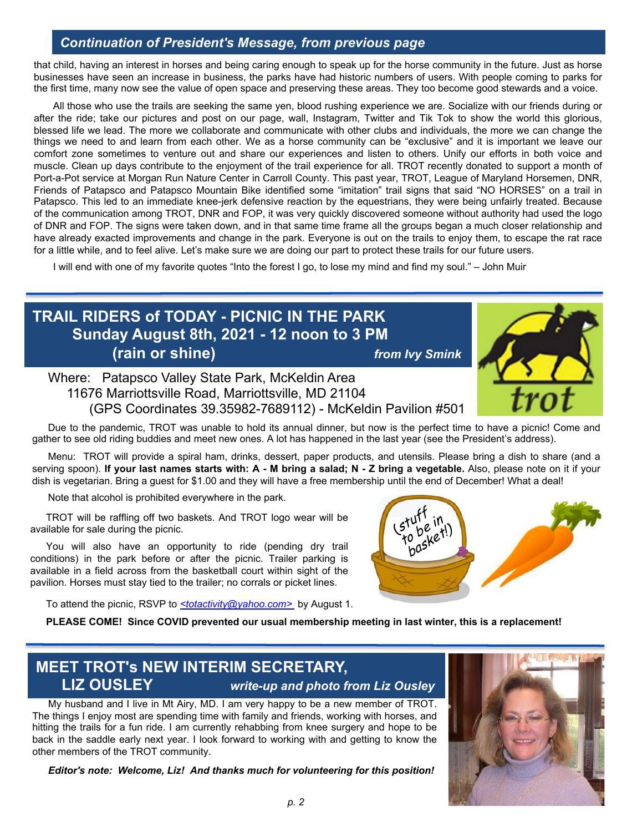#### *Continuation of President's Message, from previous page*

that child, having an interest in horses and being caring enough to speak up for the horse community in the future. Just as horse businesses have seen an increase in business, the parks have had historic numbers of users. With people coming to parks for the first time, many now see the value of open space and preserving these areas. They too become good stewards and a voice.

All those who use the trails are seeking the same yen, blood rushing experience we are. Socialize with our friends during or after the ride; take our pictures and post on our page, wall, Instagram, Twitter and Tik Tok to show the world this glorious, blessed life we lead. The more we collaborate and communicate with other clubs and individuals, the more we can change the things we need to and learn from each other. We as a horse community can be "exclusive" and it is important we leave our comfort zone sometimes to venture out and share our experiences and listen to others. Unify our efforts in both voice and muscle. Clean up days contribute to the enjoyment of the trail experience for all. TROT recently donated to support a month of Port-a-Pot service at Morgan Run Nature Center in Carroll County. This past year, TROT, League of Maryland Horsemen, DNR, Friends of Patapsco and Patapsco Mountain Bike identified some "imitation" trail signs that said "NO HORSES" on a trail in Patapsco. This led to an immediate knee-jerk defensive reaction by the equestrians, they were being unfairly treated. Because of the communication among TROT, DNR and FOP, it was very quickly discovered someone without authority had used the logo of DNR and FOP. The signs were taken down, and in that same time frame all the groups began a much closer relationship and have already exacted improvements and change in the park. Everyone is out on the trails to enjoy them, to escape the rat race for a little while, and to feel alive. Let's make sure we are doing our part to protect these trails for our future users.

I will end with one of my favorite quotes "Into the forest I go, to lose my mind and find my soul." – John Muir

# **TRAIL RIDERS of TODAY - PICNIC IN THE PARK Sunday August 8th, 2021 - 12 noon to 3 PM (rain or shine)** *from Ivy Smink*



Where: Patapsco Valley State Park, McKeldin Area 11676 Marriottsville Road, Marriottsville, MD 21104 (GPS Coordinates 39.35982-7689112) - McKeldin Pavilion #501

Due to the pandemic, TROT was unable to hold its annual dinner, but now is the perfect time to have a picnic! Come and gather to see old riding buddies and meet new ones. A lot has happened in the last year (see the President's address).

Menu: TROT will provide a spiral ham, drinks, dessert, paper products, and utensils. Please bring a dish to share (and a serving spoon). If your last names starts with: A - M bring a salad; N - Z bring a vegetable. Also, please note on it if your dish is vegetarian. Bring a guest for \$1.00 and they will have a free membership until the end of December! What a deal!

Note that alcohol is prohibited everywhere in the park.

TROT will be raffling off two baskets. And TROT logo wear will be available for sale during the picnic.

You will also have an opportunity to ride (pending dry trail conditions) in the park before or after the picnic. Trailer parking is available in a field across from the basketball court within sight of the pavilion. Horses must stay tied to the trailer; no corrals or picket lines.

To attend the picnic, RSVP to *[<totactivity@yahoo.com>](mailto:trotactivity@yahoo.com)* by August 1.



**PLEASE COME! Since COVID prevented our usual membership meeting in last winter, this is a replacement!**

### **MEET TROT's NEW INTERIM SECRETARY, LIZ OUSLEY** *write-up and photo from Liz Ousley*

My husband and I live in Mt Airy, MD. I am very happy to be a new member of TROT. The things I enjoy most are spending time with family and friends, working with horses, and hitting the trails for a fun ride. I am currently rehabbing from knee surgery and hope to be back in the saddle early next year. I look forward to working with and getting to know the other members of the TROT community.

*Editor's note: Welcome, Liz! And thanks much for volunteering for this position!*

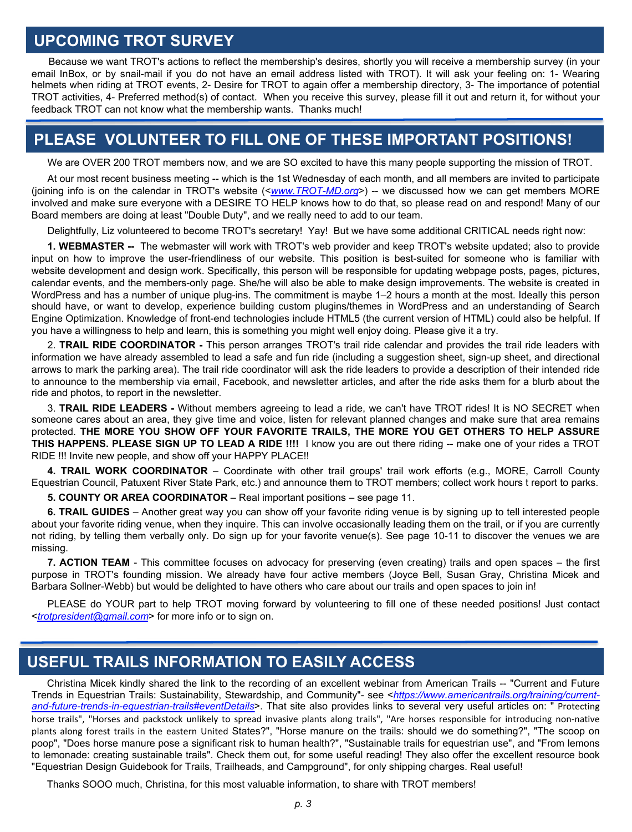#### **UPCOMING TROT SURVEY**

Because we want TROT's actions to reflect the membership's desires, shortly you will receive a membership survey (in your email InBox, or by snail-mail if you do not have an email address listed with TROT). It will ask your feeling on: 1- Wearing helmets when riding at TROT events, 2- Desire for TROT to again offer a membership directory, 3- The importance of potential TROT activities, 4- Preferred method(s) of contact. When you receive this survey, please fill it out and return it, for without your feedback TROT can not know what the membership wants. Thanks much!

### **PLEASE VOLUNTEER TO FILL ONE OF THESE IMPORTANT POSITIONS!**

We are OVER 200 TROT members now, and we are SO excited to have this many people supporting the mission of TROT.

At our most recent business meeting -- which is the 1st Wednesday of each month, and all members are invited to participate (joining info is on the calendar in TROT's website (<*[www.TROT-MD.org](http://www.trot-md.org/)*>) -- we discussed how we can get members MORE involved and make sure everyone with a DESIRE TO HELP knows how to do that, so please read on and respond! Many of our Board members are doing at least "Double Duty", and we really need to add to our team.

Delightfully, Liz volunteered to become TROT's secretary! Yay! But we have some additional CRITICAL needs right now:

**1. WEBMASTER --** The webmaster will work with TROT's web provider and keep TROT's website updated; also to provide input on how to improve the user-friendliness of our website. This position is best-suited for someone who is familiar with website development and design work. Specifically, this person will be responsible for updating webpage posts, pages, pictures, calendar events, and the members-only page. She/he will also be able to make design improvements. The website is created in WordPress and has a number of unique plug-ins. The commitment is maybe 1–2 hours a month at the most. Ideally this person should have, or want to develop, experience building custom plugins/themes in WordPress and an understanding of Search Engine Optimization. Knowledge of front-end technologies include HTML5 (the current version of HTML) could also be helpful. If you have a willingness to help and learn, this is something you might well enjoy doing. Please give it a try.

2. **TRAIL RIDE COORDINATOR -** This person arranges TROT's trail ride calendar and provides the trail ride leaders with information we have already assembled to lead a safe and fun ride (including a suggestion sheet, sign-up sheet, and directional arrows to mark the parking area). The trail ride coordinator will ask the ride leaders to provide a description of their intended ride to announce to the membership via email, Facebook, and newsletter articles, and after the ride asks them for a blurb about the ride and photos, to report in the newsletter.

3. **TRAIL RIDE LEADERS -** Without members agreeing to lead a ride, we can't have TROT rides! It is NO SECRET when someone cares about an area, they give time and voice, listen for relevant planned changes and make sure that area remains protected. **THE MORE YOU SHOW OFF YOUR FAVORITE TRAILS, THE MORE YOU GET OTHERS TO HELP ASSURE THIS HAPPENS. PLEASE SIGN UP TO LEAD A RIDE !!!!** I know you are out there riding -- make one of your rides a TROT RIDE !!! Invite new people, and show off your HAPPY PLACE!!

**4. TRAIL WORK COORDINATOR** – Coordinate with other trail groups' trail work efforts (e.g., MORE, Carroll County Equestrian Council, Patuxent River State Park, etc.) and announce them to TROT members; collect work hours t report to parks.

**5. COUNTY OR AREA COORDINATOR** – Real important positions – see page 11.

**6. TRAIL GUIDES** – Another great way you can show off your favorite riding venue is by signing up to tell interested people about your favorite riding venue, when they inquire. This can involve occasionally leading them on the trail, or if you are currently not riding, by telling them verbally only. Do sign up for your favorite venue(s). See page 10-11 to discover the venues we are missing.

**7. ACTION TEAM** - This committee focuses on advocacy for preserving (even creating) trails and open spaces – the first purpose in TROT's founding mission. We already have four active members (Joyce Bell, Susan Gray, Christina Micek and Barbara Sollner-Webb) but would be delighted to have others who care about our trails and open spaces to join in!

PLEASE do YOUR part to help TROT moving forward by volunteering to fill one of these needed positions! Just contact <*[trotpresident@gmail.com](mailto:trotpresident@gmail.com)*> for more info or to sign on.

#### **USEFUL TRAILS INFORMATION TO EASILY ACCESS**

Christina Micek kindly shared the link to the recording of an excellent webinar from American Trails -- "Current and Future Trends in Equestrian Trails: Sustainability, Stewardship, and Community"- see <*https://www.americantrails.org/training/current[and-future-trends-in-equestrian-trails#eventDetails](https://www.americantrails.org/training/current-and-future-trends-in-equestrian-trails)*>. That site also provides links to several very useful articles on: " Protecting horse trails", "Horses and packstock unlikely to spread invasive plants along trails", "Are horses responsible for introducing non-native plants along forest trails in the eastern United States?", "Horse manure on the trails: should we do something?", "The scoop on poop", "Does horse manure pose a significant risk to human health?", "Sustainable trails for equestrian use", and "From lemons to lemonade: creating sustainable trails". Check them out, for some useful reading! They also offer the excellent resource book "Equestrian Design Guidebook for Trails, Trailheads, and Campground", for only shipping charges. Real useful!

Thanks SOOO much, Christina, for this most valuable information, to share with TROT members!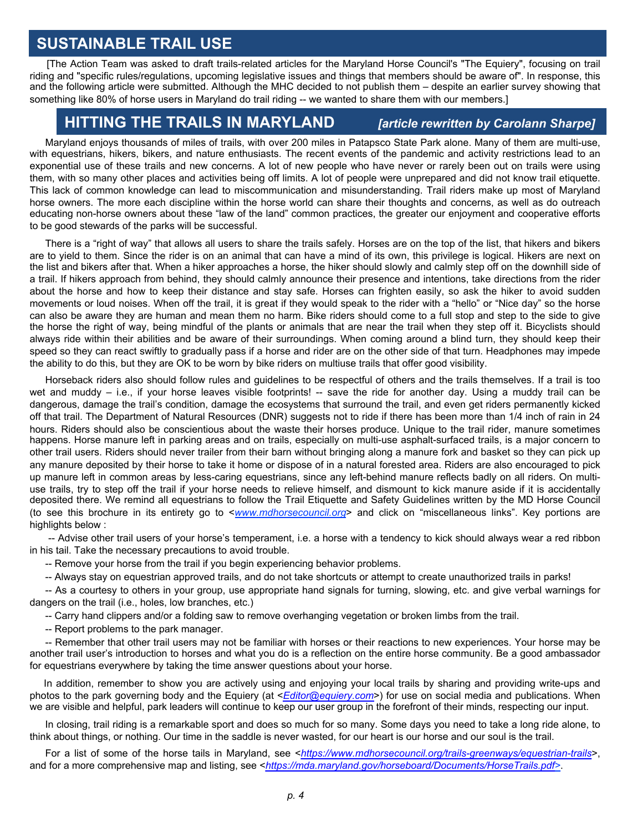#### **SUSTAINABLE TRAIL USE**

[The Action Team was asked to draft trails-related articles for the Maryland Horse Council's "The Equiery", focusing on trail riding and "specific rules/regulations, upcoming legislative issues and things that members should be aware of". In response, this and the following article were submitted. Although the MHC decided to not publish them – despite an earlier survey showing that something like 80% of horse users in Maryland do trail riding -- we wanted to share them with our members.]

#### **HITTING THE TRAILS IN MARYLAND** *[article rewritten by Carolann Sharpe]*

Maryland enjoys thousands of miles of trails, with over 200 miles in Patapsco State Park alone. Many of them are multi-use, with equestrians, hikers, bikers, and nature enthusiasts. The recent events of the pandemic and activity restrictions lead to an exponential use of these trails and new concerns. A lot of new people who have never or rarely been out on trails were using them, with so many other places and activities being off limits. A lot of people were unprepared and did not know trail etiquette. This lack of common knowledge can lead to miscommunication and misunderstanding. Trail riders make up most of Maryland horse owners. The more each discipline within the horse world can share their thoughts and concerns, as well as do outreach educating non-horse owners about these "law of the land" common practices, the greater our enjoyment and cooperative efforts to be good stewards of the parks will be successful.

There is a "right of way" that allows all users to share the trails safely. Horses are on the top of the list, that hikers and bikers are to yield to them. Since the rider is on an animal that can have a mind of its own, this privilege is logical. Hikers are next on the list and bikers after that. When a hiker approaches a horse, the hiker should slowly and calmly step off on the downhill side of a trail. If hikers approach from behind, they should calmly announce their presence and intentions, take directions from the rider about the horse and how to keep their distance and stay safe. Horses can frighten easily, so ask the hiker to avoid sudden movements or loud noises. When off the trail, it is great if they would speak to the rider with a "hello" or "Nice day" so the horse can also be aware they are human and mean them no harm. Bike riders should come to a full stop and step to the side to give the horse the right of way, being mindful of the plants or animals that are near the trail when they step off it. Bicyclists should always ride within their abilities and be aware of their surroundings. When coming around a blind turn, they should keep their speed so they can react swiftly to gradually pass if a horse and rider are on the other side of that turn. Headphones may impede the ability to do this, but they are OK to be worn by bike riders on multiuse trails that offer good visibility.

Horseback riders also should follow rules and guidelines to be respectful of others and the trails themselves. If a trail is too wet and muddy – i.e., if your horse leaves visible footprints! -- save the ride for another day. Using a muddy trail can be dangerous, damage the trail's condition, damage the ecosystems that surround the trail, and even get riders permanently kicked off that trail. The Department of Natural Resources (DNR) suggests not to ride if there has been more than 1/4 inch of rain in 24 hours. Riders should also be conscientious about the waste their horses produce. Unique to the trail rider, manure sometimes happens. Horse manure left in parking areas and on trails, especially on multi-use asphalt-surfaced trails, is a major concern to other trail users. Riders should never trailer from their barn without bringing along a manure fork and basket so they can pick up any manure deposited by their horse to take it home or dispose of in a natural forested area. Riders are also encouraged to pick up manure left in common areas by less-caring equestrians, since any left-behind manure reflects badly on all riders. On multiuse trails, try to step off the trail if your horse needs to relieve himself, and dismount to kick manure aside if it is accidentally deposited there. We remind all equestrians to follow the Trail Etiquette and Safety Guidelines written by the MD Horse Council (to see this brochure in its entirety go to <*www.mdhorsecouncil.org*> and click on "miscellaneous links". Key portions are highlights below :

-- Advise other trail users of your horse's temperament, i.e. a horse with a tendency to kick should always wear a red ribbon in his tail. Take the necessary precautions to avoid trouble.

-- Remove your horse from the trail if you begin experiencing behavior problems.

-- Always stay on equestrian approved trails, and do not take shortcuts or attempt to create unauthorized trails in parks!

-- As a courtesy to others in your group, use appropriate hand signals for turning, slowing, etc. and give verbal warnings for dangers on the trail (i.e., holes, low branches, etc.)

-- Carry hand clippers and/or a folding saw to remove overhanging vegetation or broken limbs from the trail.

-- Report problems to the park manager.

-- Remember that other trail users may not be familiar with horses or their reactions to new experiences. Your horse may be another trail user's introduction to horses and what you do is a reflection on the entire horse community. Be a good ambassador for equestrians everywhere by taking the time answer questions about your horse.

In addition, remember to show you are actively using and enjoying your local trails by sharing and providing write-ups and photos to the park governing body and the Equiery (at <*[Editor@equiery.com](mailto:Editor@equiery.com)*>) for use on social media and publications. When we are visible and helpful, park leaders will continue to keep our user group in the forefront of their minds, respecting our input.

In closing, trail riding is a remarkable sport and does so much for so many. Some days you need to take a long ride alone, to think about things, or nothing. Our time in the saddle is never wasted, for our heart is our horse and our soul is the trail.

For a list of some of the horse tails in Maryland, see <*<https://www.mdhorsecouncil.org/trails-greenways/equestrian-trails>*>, and for a more comprehensive map and listing, see <*[https://mda.maryland.gov/horseboard/Documents/HorseTrails.pdf>](https://mda.maryland.gov/horseboard/Documents/HorseTrails.pdf)*.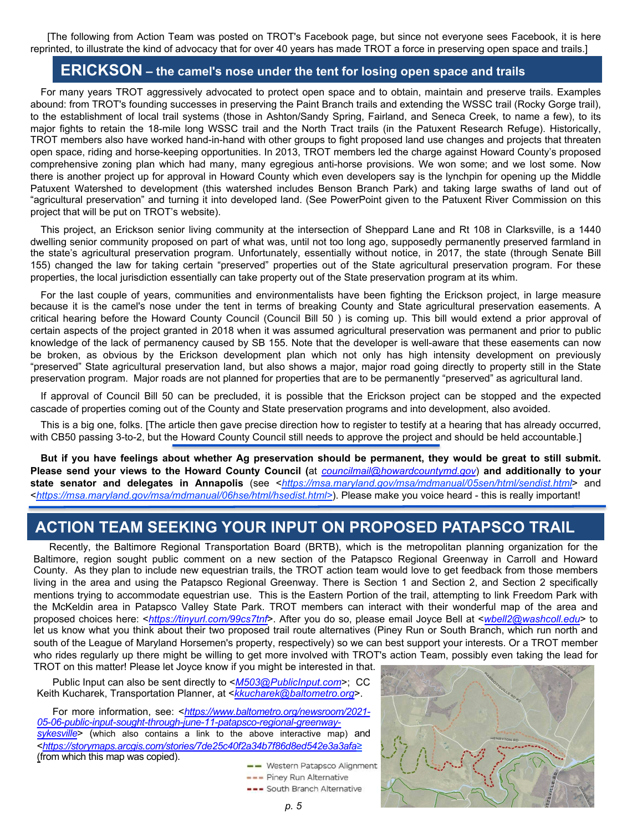[The following from Action Team was posted on TROT's Facebook page, but since not everyone sees Facebook, it is here reprinted, to illustrate the kind of advocacy that for over 40 years has made TROT a force in preserving open space and trails.]

#### **ERICKSON – the camel's nose under the tent for losing open space and trails**

For many years TROT aggressively advocated to protect open space and to obtain, maintain and preserve trails. Examples abound: from TROT's founding successes in preserving the Paint Branch trails and extending the WSSC trail (Rocky Gorge trail), to the establishment of local trail systems (those in Ashton/Sandy Spring, Fairland, and Seneca Creek, to name a few), to its major fights to retain the 18-mile long WSSC trail and the North Tract trails (in the Patuxent Research Refuge). Historically, TROT members also have worked hand-in-hand with other groups to fight proposed land use changes and projects that threaten open space, riding and horse-keeping opportunities. In 2013, TROT members led the charge against Howard County's proposed comprehensive zoning plan which had many, many egregious anti-horse provisions. We won some; and we lost some. Now there is another project up for approval in Howard County which even developers say is the lynchpin for opening up the Middle Patuxent Watershed to development (this watershed includes Benson Branch Park) and taking large swaths of land out of "agricultural preservation" and turning it into developed land. (See PowerPoint given to the Patuxent River Commission on this project that will be put on TROT's website).

This project, an Erickson senior living community at the intersection of Sheppard Lane and Rt 108 in Clarksville, is a 1440 dwelling senior community proposed on part of what was, until not too long ago, supposedly permanently preserved farmland in the state's agricultural preservation program. Unfortunately, essentially without notice, in 2017, the state (through Senate Bill 155) changed the law for taking certain "preserved" properties out of the State agricultural preservation program. For these properties, the local jurisdiction essentially can take property out of the State preservation program at its whim.

For the last couple of years, communities and environmentalists have been fighting the Erickson project, in large measure because it is the camel's nose under the tent in terms of breaking County and State agricultural preservation easements. A critical hearing before the Howard County Council (Council Bill 50 ) is coming up. This bill would extend a prior approval of certain aspects of the project granted in 2018 when it was assumed agricultural preservation was permanent and prior to public knowledge of the lack of permanency caused by SB 155. Note that the developer is well-aware that these easements can now be broken, as obvious by the Erickson development plan which not only has high intensity development on previously "preserved" State agricultural preservation land, but also shows a major, major road going directly to property still in the State preservation program. Major roads are not planned for properties that are to be permanently "preserved" as agricultural land.

If approval of Council Bill 50 can be precluded, it is possible that the Erickson project can be stopped and the expected cascade of properties coming out of the County and State preservation programs and into development, also avoided.

This is a big one, folks. [The article then gave precise direction how to register to testify at a hearing that has already occurred, with CB50 passing 3-to-2, but the Howard County Council still needs to approve the project and should be held accountable.]

But if you have feelings about whether Ag preservation should be permanent, they would be great to still submit. **Please send your views to the Howard County Council (**at *[councilmail@howardcountymd.gov](mailto:councilmail@howardcountymd.gov)*) **and additionally to your state senator and delegates in Annapolis** (see <*https://msa.maryland.gov/msa/mdmanual/05sen/html/sendist.html*> and <*https://msa.maryland.gov/msa/mdmanual/06hse/html/hsedist.html>*). Please make you voice heard - this is really important!

#### **ACTION TEAM SEEKING YOUR INPUT ON PROPOSED PATAPSCO TRAIL**

Recently, the Baltimore Regional Transportation Board (BRTB), which is the metropolitan planning organization for the Baltimore, region sought public comment on a new section of the Patapsco Regional Greenway in Carroll and Howard County. As they plan to include new equestrian trails, the TROT action team would love to get feedback from those members living in the area and using the Patapsco Regional Greenway. There is Section 1 and Section 2, and Section 2 specifically mentions trying to accommodate equestrian use. This is the Eastern Portion of the trail, attempting to link Freedom Park with the McKeldin area in Patapsco Valley State Park. TROT members can interact with their wonderful map of the area and proposed choices here: <*[https://tinyurl.com/99cs7tnf](https://nam02.safelinks.protection.outlook.com/?url=https%3A%2F%2Ftinyurl.com%2F99cs7tnf&data=04%7C01%7Cbsw%40jhmi.edu%7C29dc15ffc5ef4e7eecea08d93a2ef4d9%7C9fa4f438b1e6473b803f86f8aedf0dec%7C0%7C0%7C637604795678141370%7CUnknown%7CTWFpbGZsb3d8eyJWIjoiMC4wLjAwMDAiLCJQIjoiV2luMzIiLCJBTiI6Ik1haWwiLCJXVCI6Mn0%3D%7C1000&sdata=gpMbWl63KNVgy6uL8Awqx67OibhV%2FCRDVxds%2F1ZgdJU%3D&reserved=0)*>. After you do so, please email Joyce Bell at <*[wbell2@washcoll.edu](mailto:wbell2@washcoll.edu)*> to let us know what you think about their two proposed trail route alternatives (Piney Run or South Branch, which run north and south of the League of Maryland Horsemen's property, respectively) so we can best support your interests. Or a TROT member who rides regularly up there might be willing to get more involved with TROT's action Team, possibly even taking the lead for TROT on this matter! Please let Joyce know if you might be interested in that.

Public Input can also be sent directly to <*[M503@PublicInput.com](mailto:M503@PublicInput.com)*>; CC Keith Kucharek, Transportation Planner, at <*[kkucharek@baltometro.org](mailto:kkucharek@baltometro.org)*>.

For more information, see: <*https://www.baltometro.org/newsroom/2021- [05-06-public-input-sought-through-june-11-patapsco-regional-greenway](https://www.baltometro.org/newsroom/2021-05-06-public-input-sought-through-june-11-patapsco-regional-greenway-sykesville)sykesville*> (which also contains a link to the above interactive map) and <*<https://storymaps.arcgis.com/stories/7de25c40f2a34b7f86d8ed542e3a3afa>≥* (from which this map was copied).

- Western Patapsco Alignment

- --- Piney Run Alternative --- South Branch Alternative
	-

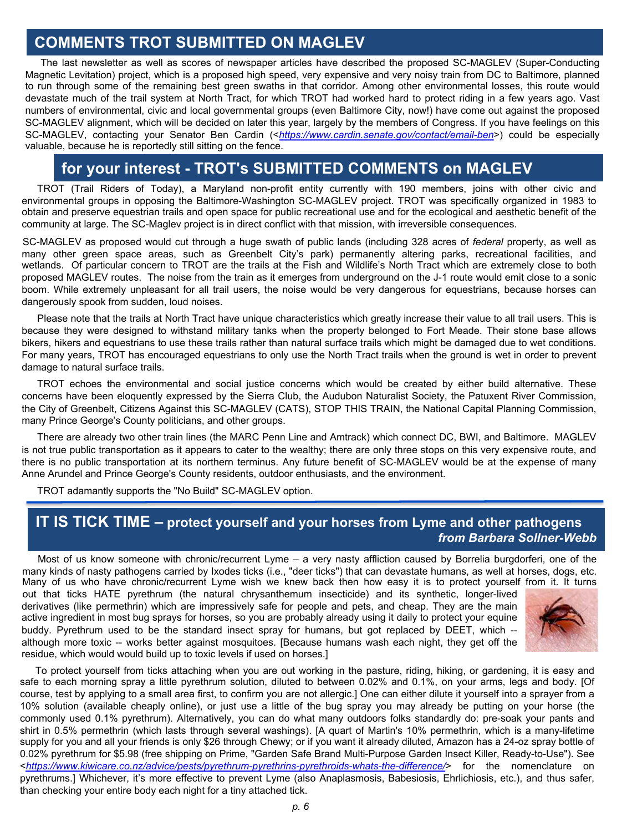#### **COMMENTS TROT SUBMITTED ON MAGLEV**

The last newsletter as well as scores of newspaper articles have described the proposed SC-MAGLEV (Super-Conducting Magnetic Levitation) project, which is a proposed high speed, very expensive and very noisy train from DC to Baltimore, planned to run through some of the remaining best green swaths in that corridor. Among other environmental losses, this route would devastate much of the trail system at North Tract, for which TROT had worked hard to protect riding in a few years ago. Vast numbers of environmental, civic and local governmental groups (even Baltimore City, now!) have come out against the proposed SC-MAGLEV alignment, which will be decided on later this year, largely by the members of Congress. If you have feelings on this SC-MAGLEV, contacting your Senator Ben Cardin (<*<https://www.cardin.senate.gov/contact/email-ben>*>) could be especially valuable, because he is reportedly still sitting on the fence.

#### **for your interest - TROT's SUBMITTED COMMENTS on MAGLEV**

TROT (Trail Riders of Today), a Maryland non-profit entity currently with 190 members, joins with other civic and environmental groups in opposing the Baltimore-Washington SC-MAGLEV project. TROT was specifically organized in 1983 to obtain and preserve equestrian trails and open space for public recreational use and for the ecological and aesthetic benefit of the community at large. The SC-Maglev project is in direct conflict with that mission, with irreversible consequences.

SC-MAGLEV as proposed would cut through a huge swath of public lands (including 328 acres of *federal* property, as well as many other green space areas, such as Greenbelt City's park) permanently altering parks, recreational facilities, and wetlands. Of particular concern to TROT are the trails at the Fish and Wildlife's North Tract which are extremely close to both proposed MAGLEV routes. The noise from the train as it emerges from underground on the J-1 route would emit close to a sonic boom. While extremely unpleasant for all trail users, the noise would be very dangerous for equestrians, because horses can dangerously spook from sudden, loud noises.

Please note that the trails at North Tract have unique characteristics which greatly increase their value to all trail users. This is because they were designed to withstand military tanks when the property belonged to Fort Meade. Their stone base allows bikers, hikers and equestrians to use these trails rather than natural surface trails which might be damaged due to wet conditions. For many years, TROT has encouraged equestrians to only use the North Tract trails when the ground is wet in order to prevent damage to natural surface trails.

TROT echoes the environmental and social justice concerns which would be created by either build alternative. These concerns have been eloquently expressed by the Sierra Club, the Audubon Naturalist Society, the Patuxent River Commission, the City of Greenbelt, Citizens Against this SC-MAGLEV (CATS), STOP THIS TRAIN, the National Capital Planning Commission, many Prince George's County politicians, and other groups.

There are already two other train lines (the MARC Penn Line and Amtrack) which connect DC, BWI, and Baltimore. MAGLEV is not true public transportation as it appears to cater to the wealthy; there are only three stops on this very expensive route, and there is no public transportation at its northern terminus. Any future benefit of SC-MAGLEV would be at the expense of many Anne Arundel and Prince George's County residents, outdoor enthusiasts, and the environment.

TROT adamantly supports the "No Build" SC-MAGLEV option.

#### **IT IS TICK TIME – protect yourself and your horses from Lyme and other pathogens** *from Barbara Sollner-Webb*

Most of us know someone with chronic/recurrent Lyme – a very nasty affliction caused by Borrelia burgdorferi, one of the many kinds of nasty pathogens carried by Ixodes ticks (i.e., "deer ticks") that can devastate humans, as well at horses, dogs, etc. Many of us who have chronic/recurrent Lyme wish we knew back then how easy it is to protect yourself from it. It turns

out that ticks HATE pyrethrum (the natural chrysanthemum insecticide) and its synthetic, longer-lived derivatives (like permethrin) which are impressively safe for people and pets, and cheap. They are the main active ingredient in most bug sprays for horses, so you are probably already using it daily to protect your equine buddy. Pyrethrum used to be the standard insect spray for humans, but got replaced by DEET, which -although more toxic -- works better against mosquitoes. [Because humans wash each night, they get off the residue, which would would build up to toxic levels if used on horses.]



To protect yourself from ticks attaching when you are out working in the pasture, riding, hiking, or gardening, it is easy and safe to each morning spray a little pyrethrum solution, diluted to between 0.02% and 0.1%, on your arms, legs and body. [Of course, test by applying to a small area first, to confirm you are not allergic.] One can either dilute it yourself into a sprayer from a 10% solution (available cheaply online), or just use a little of the bug spray you may already be putting on your horse (the commonly used 0.1% pyrethrum). Alternatively, you can do what many outdoors folks standardly do: pre-soak your pants and shirt in 0.5% permethrin (which lasts through several washings). [A quart of Martin's 10% permethrin, which is a many-lifetime supply for you and all your friends is only \$26 through Chewy; or if you want it already diluted, Amazon has a 24-oz spray bottle of 0.02% pyrethrum for \$5.98 (free shipping on Prime, "Garden Safe Brand Multi-Purpose Garden Insect Killer, Ready-to-Use"). See <*<https://www.kiwicare.co.nz/advice/pests/pyrethrum-pyrethrins-pyrethroids-whats-the-difference/>*> for the nomenclature on pyrethrums.] Whichever, it's more effective to prevent Lyme (also Anaplasmosis, Babesiosis, Ehrlichiosis, etc.), and thus safer, than checking your entire body each night for a tiny attached tick.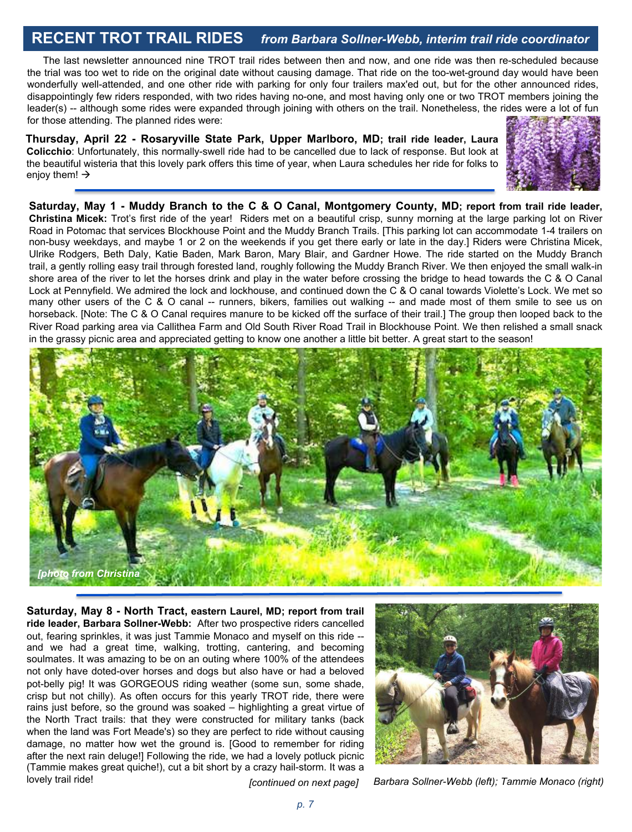#### **RECENT TROT TRAIL RIDES** *from Barbara Sollner-Webb, interim trail ride coordinator*

The last newsletter announced nine TROT trail rides between then and now, and one ride was then re-scheduled because the trial was too wet to ride on the original date without causing damage. That ride on the too-wet-ground day would have been wonderfully well-attended, and one other ride with parking for only four trailers max'ed out, but for the other announced rides, disappointingly few riders responded, with two rides having no-one, and most having only one or two TROT members joining the leader(s) -- although some rides were expanded through joining with others on the trail. Nonetheless, the rides were a lot of fun for those attending. The planned rides were:

**Thursday, April 22 - Rosaryville State Park, Upper Marlboro, MD; trail ride leader, Laura Colicchio**: Unfortunately, this normally-swell ride had to be cancelled due to lack of response. But look at the beautiful wisteria that this lovely park offers this time of year, when Laura schedules her ride for folks to enjoy them!  $\rightarrow$ 



Saturday, May 1 - Muddy Branch to the C & O Canal, Montgomery County, MD; report from trail ride leader, **Christina Micek:** Trot's first ride of the year! Riders met on a beautiful crisp, sunny morning at the large parking lot on River Road in Potomac that services Blockhouse Point and the Muddy Branch Trails. [This parking lot can accommodate 1-4 trailers on non-busy weekdays, and maybe 1 or 2 on the weekends if you get there early or late in the day.] Riders were Christina Micek, Ulrike Rodgers, Beth Daly, Katie Baden, Mark Baron, Mary Blair, and Gardner Howe. The ride started on the Muddy Branch trail, a gently rolling easy trail through forested land, roughly following the Muddy Branch River. We then enjoyed the small walk-in shore area of the river to let the horses drink and play in the water before crossing the bridge to head towards the C & O Canal Lock at Pennyfield. We admired the lock and lockhouse, and continued down the C & O canal towards Violette's Lock. We met so many other users of the C & O canal -- runners, bikers, families out walking -- and made most of them smile to see us on horseback. [Note: The C & O Canal requires manure to be kicked off the surface of their trail.] The group then looped back to the River Road parking area via Callithea Farm and Old South River Road Trail in Blockhouse Point. We then relished a small snack in the grassy picnic area and appreciated getting to know one another a little bit better. A great start to the season!



**Saturday, May 8 - North Tract, eastern Laurel, MD; report from trail ride leader, Barbara Sollner-Webb:** After two prospective riders cancelled out, fearing sprinkles, it was just Tammie Monaco and myself on this ride - and we had a great time, walking, trotting, cantering, and becoming soulmates. It was amazing to be on an outing where 100% of the attendees not only have doted-over horses and dogs but also have or had a beloved pot-belly pig! It was GORGEOUS riding weather (some sun, some shade, crisp but not chilly). As often occurs for this yearly TROT ride, there were rains just before, so the ground was soaked – highlighting a great virtue of the North Tract trails: that they were constructed for military tanks (back when the land was Fort Meade's) so they are perfect to ride without causing damage, no matter how wet the ground is. [Good to remember for riding after the next rain deluge!] Following the ride, we had a lovely potluck picnic (Tammie makes great quiche!), cut a bit short by a crazy hail-storm. It was a lovely trail ride!



*[continued on next page] Barbara Sollner-Webb (left); Tammie Monaco (right)*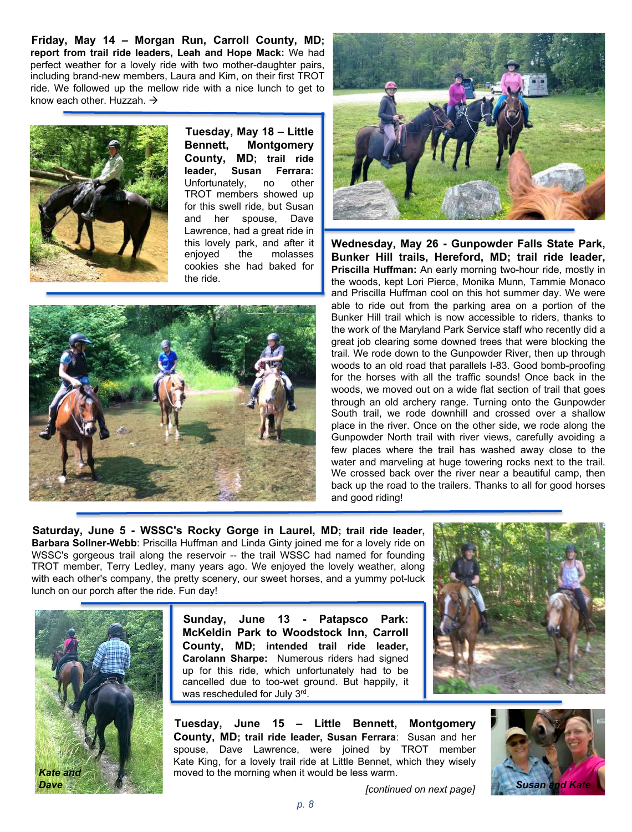**Friday, May 14 – Morgan Run, Carroll County, MD; report from trail ride leaders, Leah and Hope Mack:** We had perfect weather for a lovely ride with two mother-daughter pairs, including brand-new members, Laura and Kim, on their first TROT ride. We followed up the mellow ride with a nice lunch to get to know each other. Huzzah.  $\rightarrow$ 



**Tuesday, May 18 – Little Bennett, Montgomery County, MD; trail ride leader, Susan Ferrara:** Unfortunately, no other TROT members showed up for this swell ride, but Susan and her spouse, Dave Lawrence, had a great ride in this lovely park, and after it<br>enioved the molasses enjoyed cookies she had baked for the ride.





**Wednesday, May 26 - Gunpowder Falls State Park, Bunker Hill trails, Hereford, MD; trail ride leader, Priscilla Huffman:** An early morning two-hour ride, mostly in the woods, kept Lori Pierce, Monika Munn, Tammie Monaco and Priscilla Huffman cool on this hot summer day. We were able to ride out from the parking area on a portion of the Bunker Hill trail which is now accessible to riders, thanks to the work of the Maryland Park Service staff who recently did a great job clearing some downed trees that were blocking the trail. We rode down to the Gunpowder River, then up through woods to an old road that parallels I-83. Good bomb-proofing for the horses with all the traffic sounds! Once back in the woods, we moved out on a wide flat section of trail that goes through an old archery range. Turning onto the Gunpowder South trail, we rode downhill and crossed over a shallow place in the river. Once on the other side, we rode along the Gunpowder North trail with river views, carefully avoiding a few places where the trail has washed away close to the water and marveling at huge towering rocks next to the trail. We crossed back over the river near a beautiful camp, then back up the road to the trailers. Thanks to all for good horses and good riding!

**Saturday, June 5 - WSSC's Rocky Gorge in Laurel, MD; trail ride leader, Barbara Sollner-Webb**: Priscilla Huffman and Linda Ginty joined me for a lovely ride on WSSC's gorgeous trail along the reservoir -- the trail WSSC had named for founding TROT member, Terry Ledley, many years ago. We enjoyed the lovely weather, along with each other's company, the pretty scenery, our sweet horses, and a yummy pot-luck lunch on our porch after the ride. Fun day!



**Sunday, June 13 - Patapsco Park: McKeldin Park to Woodstock Inn, Carroll County, MD; intended trail ride leader, Carolann Sharpe:** Numerous riders had signed up for this ride, which unfortunately had to be cancelled due to too-wet ground. But happily, it was rescheduled for July 3rd.



**Tuesday, June 15 – Little Bennett, Montgomery County, MD; trail ride leader, Susan Ferrara**: Susan and her spouse, Dave Lawrence, were joined by TROT member Kate King, for a lovely trail ride at Little Bennet, which they wisely moved to the morning when it would be less warm.

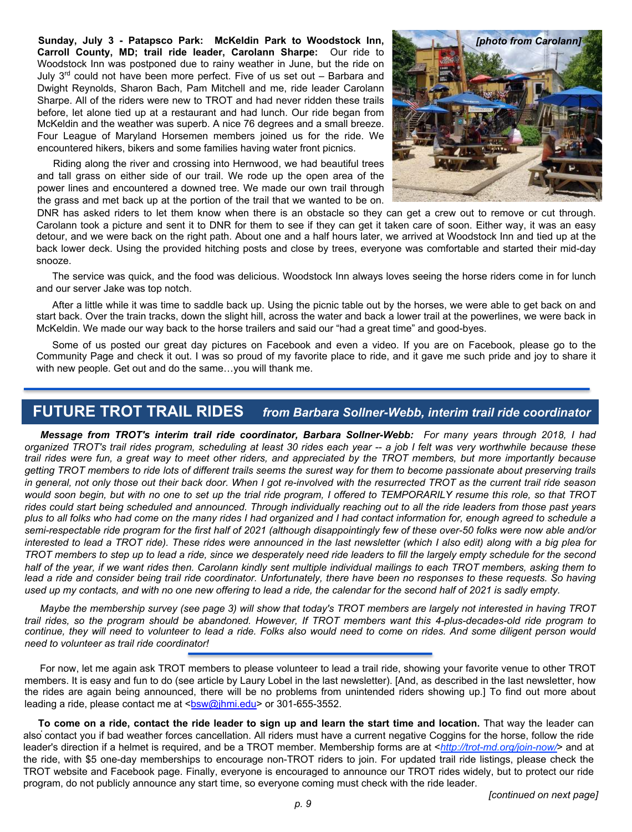**Sunday, July 3 - Patapsco Park: McKeldin Park to Woodstock Inn, Carroll County, MD; trail ride leader, Carolann Sharpe:** Our ride to Woodstock Inn was postponed due to rainy weather in June, but the ride on July 3rd could not have been more perfect. Five of us set out – Barbara and Dwight Reynolds, Sharon Bach, Pam Mitchell and me, ride leader Carolann Sharpe. All of the riders were new to TROT and had never ridden these trails before, let alone tied up at a restaurant and had lunch. Our ride began from McKeldin and the weather was superb. A nice 76 degrees and a small breeze. Four League of Maryland Horsemen members joined us for the ride. We encountered hikers, bikers and some families having water front picnics.

Riding along the river and crossing into Hernwood, we had beautiful trees and tall grass on either side of our trail. We rode up the open area of the power lines and encountered a downed tree. We made our own trail through the grass and met back up at the portion of the trail that we wanted to be on.



DNR DNR has asked riders to let them know when there is an obstacle so they can get a crew out to remove or cut through. Carolann took a picture and sent it to DNR for them to see if they can get it taken care of soon. Either way, it was an easy detour, and we were back on the right path. About one and a half hours later, we arrived at Woodstock Inn and tied up at the back lower deck. Using the provided hitching posts and close by trees, everyone was comfortable and started their mid-day snooze.

The service was quick, and the food was delicious. Woodstock Inn always loves seeing the horse riders come in for lunch and our server Jake was top notch.

After a little while it was time to saddle back up. Using the picnic table out by the horses, we were able to get back on and start back. Over the train tracks, down the slight hill, across the water and back a lower trail at the powerlines, we were back in McKeldin. We made our way back to the horse trailers and said our "had a great time" and good-byes.

Some of us posted our great day pictures on Facebook and even a video. If you are on Facebook, please go to the Community Page and check it out. I was so proud of my favorite place to ride, and it gave me such pride and joy to share it with new people. Get out and do the same…you will thank me.

#### **FUTURE TROT TRAIL RIDES** *from Barbara Sollner-Webb, interim trail ride coordinator*

*Message from TROT's interim trail ride coordinator, Barbara Sollner-Webb: For many years through 2018, I had* organized TROT's trail rides program, scheduling at least 30 rides each year -- a job I felt was very worthwhile because these trail rides were fun, a great way to meet other riders, and appreciated by the TROT members, but more importantly because getting TROT members to ride lots of different trails seems the surest way for them to become passionate about preserving trails in general, not only those out their back door. When I got re-involved with the resurrected TROT as the current trail ride season would soon begin, but with no one to set up the trial ride program, I offered to TEMPORARILY resume this role, so that TROT rides could start being scheduled and announced. Through individually reaching out to all the ride leaders from those past years plus to all folks who had come on the many rides I had organized and I had contact information for, enough agreed to schedule a semi-respectable ride program for the first half of 2021 (although disappointingly few of these over-50 folks were now able and/or interested to lead a TROT ride). These rides were announced in the last newsletter (which I also edit) along with a big plea for TROT members to step up to lead a ride, since we desperately need ride leaders to fill the largely empty schedule for the second half of the year, if we want rides then. Carolann kindly sent multiple individual mailings to each TROT members, asking them to lead a ride and consider being trail ride coordinator. Unfortunately, there have been no responses to these requests. So having used up my contacts, and with no one new offering to lead a ride, the calendar for the second half of 2021 is sadly empty.

Maybe the membership survey (see page 3) will show that today's TROT members are largely not interested in having TROT trail rides, so the program should be abandoned. However, If TROT members want this 4-plus-decades-old ride program to continue. they will need to volunteer to lead a ride. Folks also would need to come on rides. And some diligent person would *need to volunteer as trail ride coordinator!*

For now, let me again ask TROT members to please volunteer to lead a trail ride, showing your favorite venue to other TROT members. It is easy and fun to do (see article by Laury Lobel in the last newsletter). [And, as described in the last newsletter, how the rides are again being announced, there will be no problems from unintended riders showing up.] To find out more about leading a ride, please contact me at <br/> <br/>sw@jhmi.edu> or 301-655-3552.

To come on a ride, contact the ride leader to sign up and learn the start time and location. That way the leader can also contact you if bad weather forces cancellation. All riders must have a current negative Coggins for the horse, follow the ride leader's direction if a helmet is required, and be a TROT member. Membership forms are at <*http://trot-md.org/join-now/*> and at the ride, with \$5 one-day memberships to encourage non-TROT riders to join. For updated trail ride listings, please check the TROT website and Facebook page. Finally, everyone is encouraged to announce our TROT rides widely, but to protect our ride program, do not publicly announce any start time, so everyone coming must check with the ride leader.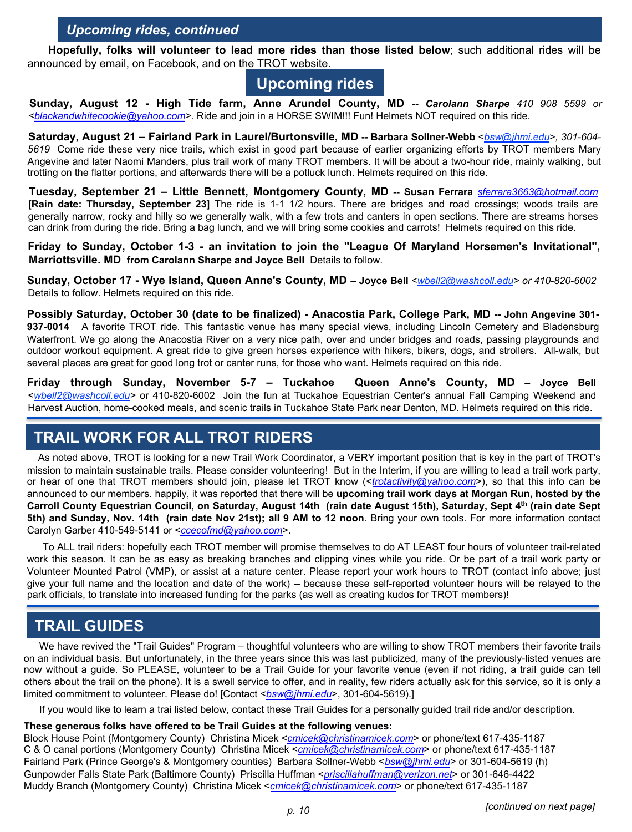#### *Upcoming rides, continued*

**Hopefully, folks will volunteer to lead more rides than those listed below**; such additional rides will be announced by email, on Facebook, and on the TROT website.

# **Upcoming rides**

**Sunday, August 12 - High Tide farm, Anne Arundel County, MD --** *Carolann Sharpe 410 908 5599 or [<blackandwhitecookie@yahoo.com>](mailto:blackandwhitecookie@yahoo.com).* Ride and join in a HORSE SWIM!!! Fun! Helmets NOT required on this ride.

**Saturday, August 21 – Fairland Park in Laurel/Burtonsville, MD -- Barbara Sollner-Webb** <*bsw@jhmi.edu*>*, 301-604- 5619* Come ride these very nice trails, which exist in good part because of earlier organizing efforts by TROT members Mary Angevine and later Naomi Manders, plus trail work of many TROT members. It will be about a two-hour ride, mainly walking, but trotting on the flatter portions, and afterwards there will be a potluck lunch. Helmets required on this ride.

**Tuesday, September 21 – Little Bennett, Montgomery County, MD -- Susan Ferrara** *[sferrara3663@hotmail.com](mailto:sferrara3663@hotmail.com)* **[Rain date: Thursday, September 23]** The ride is 1-1 1/2 hours. There are bridges and road crossings; woods trails are generally narrow, rocky and hilly so we generally walk, with a few trots and canters in open sections. There are streams horses can drink from during the ride. Bring a bag lunch, and we will bring some cookies and carrots! Helmets required on this ride.

**Friday to Sunday, October 1-3 - an invitation to join the "League Of Maryland Horsemen's Invitational", Marriottsville. MD from Carolann Sharpe and Joyce Bell** Details to follow.

Sunday, October 17 - Wye Island, Queen Anne's County, MD - Joyce Bell <[wbell2@washcoll.edu](mailto:wbell2@washcoll.edu)> or 410-820-6002 Details to follow. Helmets required on this ride.

Possibly Saturday, October 30 (date to be finalized) - Anacostia Park, College Park, MD -- John Angevine 301-**937-0014** A favorite TROT ride. This fantastic venue has many special views, including Lincoln Cemetery and Bladensburg Waterfront. We go along the Anacostia River on a very nice path, over and under bridges and roads, passing playgrounds and outdoor workout equipment. A great ride to give green horses experience with hikers, bikers, dogs, and strollers. All-walk, but several places are great for good long trot or canter runs, for those who want. Helmets required on this ride.

**Friday through Sunday, November 5-7 – Tuckahoe Queen Anne's County, MD – Joyce Bell** <*[wbell2@washcoll.edu>](mailto:wbell2@washcoll.edu)* or 410-820-6002 Join the fun at Tuckahoe Equestrian Center's annual Fall Camping Weekend and Harvest Auction, home-cooked meals, and scenic trails in Tuckahoe State Park near Denton, MD. Helmets required on this ride.

#### **TRAIL WORK FOR ALL TROT RIDERS**

As noted above, TROT is looking for a new Trail Work Coordinator, a VERY important position that is key in the part of TROT's mission to maintain sustainable trails. Please consider volunteering! But in the Interim, if you are willing to lead a trail work party, or hear of one that TROT members should join, please let TROT know (<*[trotactivity@yahoo.com](mailto:trotactivity@yahoo.com)*>), so that this info can be announced to our members. happily, it was reported that there will be **upcoming trail work days at Morgan Run, hosted by the** Carroll County Equestrian Council, on Saturday, August 14th (rain date August 15th), Saturday, Sept 4<sup>th</sup> (rain date Sept 5th) and Sunday, Nov. 14th (rain date Nov 21st); all 9 AM to 12 noon. Bring your own tools. For more information contact Carolyn Garber 410-549-5141 or <*[ccecofmd@yahoo.com](mailto:ccecofmd@yahoo.com)*>.

To ALL trail riders: hopefully each TROT member will promise themselves to do AT LEAST four hours of volunteer trail-related work this season. It can be as easy as breaking branches and clipping vines while you ride. Or be part of a trail work party or Volunteer Mounted Patrol (VMP), or assist at a nature center. Please report your work hours to TROT (contact info above; just give your full name and the location and date of the work) -- because these self-reported volunteer hours will be relayed to the park officials, to translate into increased funding for the parks (as well as creating kudos for TROT members)!

# **TRAIL GUIDES**

We have revived the "Trail Guides" Program – thoughtful volunteers who are willing to show TROT members their favorite trails on an individual basis. But unfortunately, in the three years since this was last publicized, many of the previously-listed venues are now without a guide. So PLEASE, volunteer to be a Trail Guide for your favorite venue (even if not riding, a trail guide can tell others about the trail on the phone). It is a swell service to offer, and in reality, few riders actually ask for this service, so it is only a limited commitment to volunteer. Please do! [Contact <*[bsw@jhmi.edu](mailto:bsw@jhmi.edu)*>, 301-604-5619).]

If you would like to learn a trai listed below, contact these Trail Guides for a personally guided trail ride and/or description.

#### **These generous folks have offered to be Trail Guides at the following venues:**

Block House Point (Montgomery County) Christina Micek <*[cmicek@christinamicek.com](mailto:cmicek@christinamicek.com)*> or phone/text 617-435-1187 C & O canal portions (Montgomery County) Christina Micek <*[cmicek@christinamicek.com](mailto:cmicek@christinamicek.com)*> or phone/text 617-435-1187 Fairland Park (Prince George's & Montgomery counties) Barbara Sollner-Webb <*[bsw@jhmi.edu](mailto:bsw@jhmi.edu)*> or 301-604-5619 (h) Gunpowder Falls State Park (Baltimore County) Priscilla Huffman <*[priscillahuffman@verizon.net](mailto:priscillahuffman@verizon.net)*> or 301-646-4422 Muddy Branch (Montgomery County) Christina Micek <*[cmicek@christinamicek.com](mailto:cmicek@christinamicek.com)*> or phone/text 617-435-1187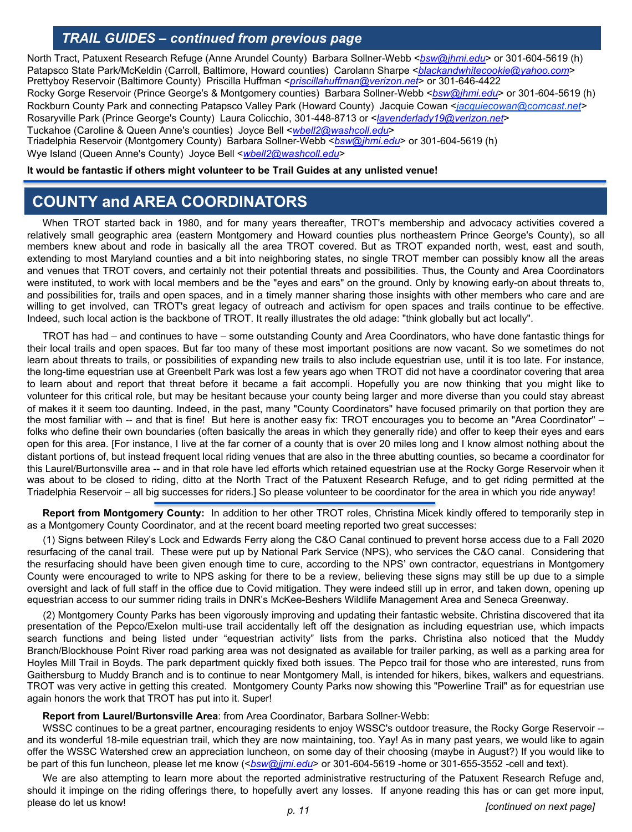#### *TRAIL GUIDES – continued from previous page*

North Tract, Patuxent Research Refuge (Anne Arundel County) Barbara Sollner-Webb <*[bsw@jhmi.edu](mailto:bsw@jhmi.edu)*> or 301-604-5619 (h) Patapsco State Park/McKeldin (Carroll, Baltimore, Howard counties) Carolann Sharpe <*[blackandwhitecookie@yahoo.com](mailto:blackandwhitecookie@yahoo.com)*> Prettyboy Reservoir (Baltimore County) Priscilla Huffman <*[priscillahuffman@verizon.net](mailto:priscillahuffman@verizon.net)*> or 301-646-4422 Rocky Gorge Reservoir (Prince George's & Montgomery counties) Barbara Sollner-Webb <*[bsw@jhmi.edu](mailto:bsw@jhmi.edu)*> or 301-604-5619 (h)

Rockburn County Park and connecting Patapsco Valley Park (Howard County) Jacquie Cowan <*jacquiecowan@comcast.net>* Rosaryville Park (Prince George's County) Laura Colicchio, 301-448-8713 or <*[lavenderlady19@verizon.net](mailto:lavenderlady19@verizon.net)*> Tuckahoe (Caroline & Queen Anne's counties) Joyce Bell <*[wbell2@washcoll.edu](mailto:wbell2@washcoll.edu)*>

Triadelphia Reservoir (Montgomery County) Barbara Sollner-Webb <*[bsw@jhmi.edu](mailto:bsw@jhmi.edu)*> or 301-604-5619 (h) Wye Island (Queen Anne's County) Joyce Bell <*[wbell2@washcoll.edu](mailto:wbell2@washcoll.edu)*>

#### **It would be fantastic if others might volunteer to be Trail Guides at any unlisted venue!**

### **COUNTY and AREA COORDINATORS**

When TROT started back in 1980, and for many years thereafter, TROT's membership and advocacy activities covered a relatively small geographic area (eastern Montgomery and Howard counties plus northeastern Prince George's County), so all members knew about and rode in basically all the area TROT covered. But as TROT expanded north, west, east and south, extending to most Maryland counties and a bit into neighboring states, no single TROT member can possibly know all the areas and venues that TROT covers, and certainly not their potential threats and possibilities. Thus, the County and Area Coordinators were instituted, to work with local members and be the "eyes and ears" on the ground. Only by knowing early-on about threats to, and possibilities for, trails and open spaces, and in a timely manner sharing those insights with other members who care and are willing to get involved, can TROT's great legacy of outreach and activism for open spaces and trails continue to be effective. Indeed, such local action is the backbone of TROT. It really illustrates the old adage: "think globally but act locally".

TROT has had – and continues to have – some outstanding County and Area Coordinators, who have done fantastic things for their local trails and open spaces. But far too many of these most important positions are now vacant. So we sometimes do not learn about threats to trails, or possibilities of expanding new trails to also include equestrian use, until it is too late. For instance, the long-time equestrian use at Greenbelt Park was lost a few years ago when TROT did not have a coordinator covering that area to learn about and report that threat before it became a fait accompli. Hopefully you are now thinking that you might like to volunteer for this critical role, but may be hesitant because your county being larger and more diverse than you could stay abreast of makes it it seem too daunting. Indeed, in the past, many "County Coordinators" have focused primarily on that portion they are the most familiar with -- and that is fine! But here is another easy fix: TROT encourages you to become an "Area Coordinator" folks who define their own boundaries (often basically the areas in which they generally ride) and offer to keep their eyes and ears open for this area. [For instance, I live at the far corner of a county that is over 20 miles long and I know almost nothing about the distant portions of, but instead frequent local riding venues that are also in the three abutting counties, so became a coordinator for this Laurel/Burtonsville area -- and in that role have led efforts which retained equestrian use at the Rocky Gorge Reservoir when it was about to be closed to riding, ditto at the North Tract of the Patuxent Research Refuge, and to get riding permitted at the Triadelphia Reservoir – all big successes for riders.] So please volunteer to be coordinator for the area in which you ride anyway!

**Report from Montgomery County:** In addition to her other TROT roles, Christina Micek kindly offered to temporarily step in as a Montgomery County Coordinator, and at the recent board meeting reported two great successes:

(1) Signs between Riley's Lock and Edwards Ferry along the C&O Canal continued to prevent horse access due to a Fall 2020 resurfacing of the canal trail. These were put up by National Park Service (NPS), who services the C&O canal. Considering that the resurfacing should have been given enough time to cure, according to the NPS' own contractor, equestrians in Montgomery County were encouraged to write to NPS asking for there to be a review, believing these signs may still be up due to a simple oversight and lack of full staff in the office due to Covid mitigation. They were indeed still up in error, and taken down, opening up equestrian access to our summer riding trails in DNR's McKee-Beshers Wildlife Management Area and Seneca Greenway.

(2) Montgomery County Parks has been vigorously improving and updating their fantastic website. Christina discovered that ita presentation of the Pepco/Exelon multi-use trail accidentally left off the designation as including equestrian use, which impacts search functions and being listed under "equestrian activity" lists from the parks. Christina also noticed that the Muddy Branch/Blockhouse Point River road parking area was not designated as available for trailer parking, as well as a parking area for Hoyles Mill Trail in Boyds. The park department quickly fixed both issues. The Pepco trail for those who are interested, runs from Gaithersburg to Muddy Branch and is to continue to near Montgomery Mall, is intended for hikers, bikes, walkers and equestrians. TROT was very active in getting this created. Montgomery County Parks now showing this "Powerline Trail" as for equestrian use again honors the work that TROT has put into it. Super!

#### **Report from Laurel/Burtonsville Area**: from Area Coordinator, Barbara Sollner-Webb:

WSSC continues to be a great partner, encouraging residents to enjoy WSSC's outdoor treasure, the Rocky Gorge Reservoir -and its wonderful 18-mile equestrian trail, which they are now maintaining, too. Yay! As in many past years, we would like to again offer the WSSC Watershed crew an appreciation luncheon, on some day of their choosing (maybe in August?) If you would like to be part of this fun luncheon, please let me know (<*[bsw@jjmi.edu](mailto:bsw@jjmi.edu)*> or 301-604-5619 -home or 301-655-3552 -cell and text).

We are also attempting to learn more about the reported administrative restructuring of the Patuxent Research Refuge and, should it impinge on the riding offerings there, to hopefully avert any losses. If anyone reading this has or can get more input, please do let us know! *p. 11 [continued on next page]*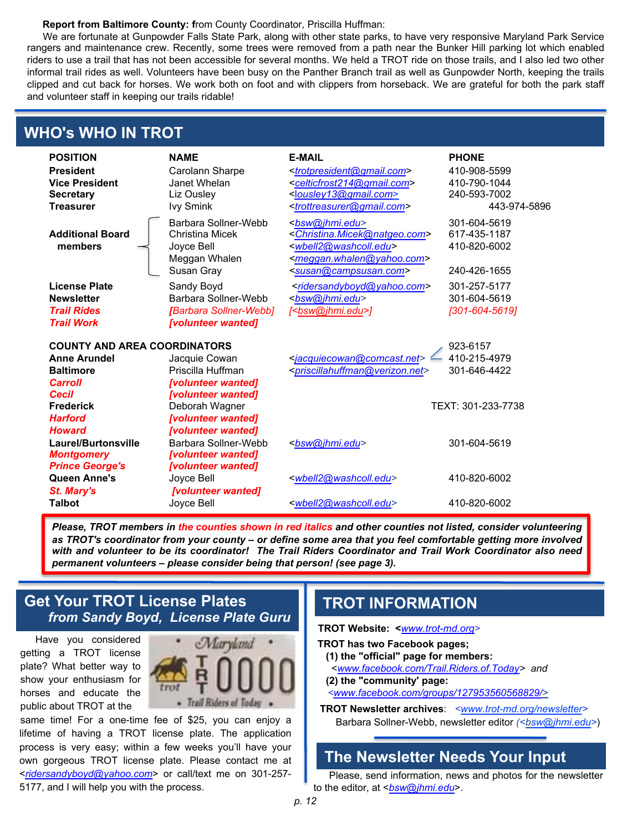#### **Report from Baltimore County: f**rom County Coordinator, Priscilla Huffman:

We are fortunate at Gunpowder Falls State Park, along with other state parks, to have very responsive Maryland Park Service rangers and maintenance crew. Recently, some trees were removed from a path near the Bunker Hill parking lot which enabled riders to use a trail that has not been accessible for several months. We held a TROT ride on those trails, and I also led two other informal trail rides as well. Volunteers have been busy on the Panther Branch trail as well as Gunpowder North, keeping the trails clipped and cut back for horses. We work both on foot and with clippers from horseback. We are grateful for both the park staff and volunteer staff in keeping our trails ridable!

#### **WHO's WHO IN TROT**

| <b>POSITION</b><br><b>President</b><br><b>Vice President</b><br><b>Secretary</b><br><b>Treasurer</b> | <b>NAME</b><br>Carolann Sharpe<br>Janet Whelan<br>Liz Ousley<br><b>Ivy Smink</b>                         | <b>E-MAIL</b><br><trotpresident@gmail.com><br/><celticfrost214@gmail.com><br/><lousley13@gmail.com><br/><trottreasurer@gmail.com></trottreasurer@gmail.com></lousley13@gmail.com></celticfrost214@gmail.com></trotpresident@gmail.com> | <b>PHONE</b><br>410-908-5599<br>410-790-1044<br>240-593-7002<br>443-974-5896 |
|------------------------------------------------------------------------------------------------------|----------------------------------------------------------------------------------------------------------|----------------------------------------------------------------------------------------------------------------------------------------------------------------------------------------------------------------------------------------|------------------------------------------------------------------------------|
| <b>Additional Board</b><br>members                                                                   | Barbara Sollner-Webb<br>Christina Micek<br>Joyce Bell<br>Meggan Whalen<br>Susan Gray                     | <bsw@jhmi.edu><br/><christina.micek@natgeo.com><br/>wbell2@washcoll.edu&gt;<br/><meggan.whalen@yahoo.com><br/><susan@campsusan.com></susan@campsusan.com></meggan.whalen@yahoo.com></christina.micek@natgeo.com></bsw@jhmi.edu>        | 301-604-5619<br>617-435-1187<br>410-820-6002<br>240-426-1655                 |
| License Plate<br><b>Newsletter</b><br><b>Trail Rides</b><br><b>Trail Work</b>                        | Sandy Boyd<br>Barbara Sollner-Webb<br>[Barbara Sollner-Webb]<br>[volunteer wanted]                       | <ridersandyboyd@yahoo.com><br/><bsw@jhmi.edu><br/>[<bsw@jhmi.edu>]</bsw@jhmi.edu></bsw@jhmi.edu></ridersandyboyd@yahoo.com>                                                                                                            | 301-257-5177<br>301-604-5619<br>[301-604-5619]                               |
| <b>COUNTY AND AREA COORDINATORS</b><br><b>Anne Arundel</b><br><b>Baltimore</b>                       | Jacquie Cowan                                                                                            | <jacquiecowan@comcast.net></jacquiecowan@comcast.net>                                                                                                                                                                                  | 923-6157<br>410-215-4979                                                     |
| <b>Carroll</b><br>Cecil                                                                              | Priscilla Huffman<br>[volunteer wanted]<br>[volunteer wanted]                                            | <priscillahuffman@verizon.net></priscillahuffman@verizon.net>                                                                                                                                                                          | 301-646-4422                                                                 |
| <b>Frederick</b><br><b>Harford</b><br><b>Howard</b><br>Laurel/Burtonsville<br><b>Montgomery</b>      | Deborah Wagner<br>[volunteer wanted]<br>[volunteer wanted]<br>Barbara Sollner-Webb<br>[volunteer wanted] | <bsw@jhmi.edu></bsw@jhmi.edu>                                                                                                                                                                                                          | TEXT: 301-233-7738<br>301-604-5619                                           |
| <b>Prince George's</b><br>Queen Anne's<br>St. Mary's<br><b>Talbot</b>                                | [volunteer wanted]<br>Joyce Bell<br>[volunteer wanted]<br>Joyce Bell                                     | <wbell2@washcoll.edu><br/><wbell2@washcoll.edu></wbell2@washcoll.edu></wbell2@washcoll.edu>                                                                                                                                            | 410-820-6002<br>410-820-6002                                                 |

Please, TROT members in the counties shown in red italics and other counties not listed, consider volunteering as TROT's coordinator from your county - or define some area that you feel comfortable getting more involved with and volunteer to be its coordinator! The Trail Riders Coordinator and Trail Work Coordinator also need *permanent volunteers – please consider being that person! (see page 3).*

#### **Get Your TROT License Plates** *from Sandy Boyd, License Plate Guru*

Have you considered getting a TROT license plate? What better way to show your enthusiasm for horses and educate the public about TROT at the



same time! For a one-time fee of \$25, you can enjoy a lifetime of having a TROT license plate. The application process is very easy; within a few weeks you'll have your own gorgeous TROT license plate. Please contact me at <*[ridersandyboyd@yahoo.com](http://ridersandyboyd@yahoo.com)*> or call/text me on 301-257- 5177, and I will help you with the process.

#### **TROT INFORMATION**

**TROT Website: <***[www.trot-md.org>](http://www.trot-md.org/)*

- **TROT has two Facebook pages;**
	- **(1) the "official" page for members:**
	- <*[www.facebook.com/Trail.Riders.of.Today>](http://www.facebook.com/Trail.Riders.of.Today) and*
	- **(2) the "community' page:**
	- *[<www.facebook.com/groups/127953560568829/>](http://www.facebook.com/groups/127953560568829/)*
- **TROT Newsletter archives**: *<www.trot-md.org/newsletter>* Barbara Sollner-Webb, newsletter editor *(<bsw@jhmi.edu>*)

## **The Newsletter Needs Your Input**

Please, send information, news and photos for the newsletter to the editor, at <*bsw@jhmi.edu*>.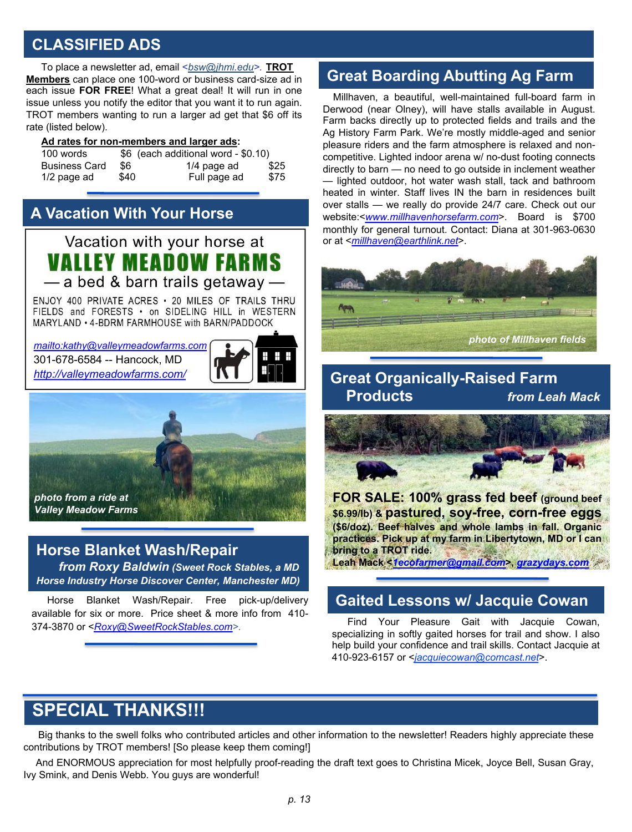#### **CLASSIFIED ADS**

To place a newsletter ad, email <*bsw@jhmi.edu>.* **TROT Members** can place one 100-word or business card-size ad in each issue **FOR FREE**! What a great deal! It will run in one issue unless you notify the editor that you want it to run again. TROT members wanting to run a larger ad get that \$6 off its rate (listed below).

#### **Ad rates for non-members and larger ads:**

| 100 words            |      | \$6 (each additional word - \$0.10) |      |
|----------------------|------|-------------------------------------|------|
| <b>Business Card</b> | \$6  | $1/4$ page ad                       | \$25 |
| $1/2$ page ad        | \$40 | Full page ad                        | \$75 |

# **A Vacation With Your Horse**

Vacation with your horse at **VALLEY MEADOW FARMS** -a bed & barn trails getaway-

ENJOY 400 PRIVATE ACRES . 20 MILES OF TRAILS THRU FIFLDS and FORESTS . on SIDELING HILL in WESTERN MARYLAND • 4-BDRM FARMHOUSE with BARN/PADDOCK

301-678-6584 -- Hancock, MD *<http://valleymeadowfarms.com/>*



*photo from a ride at Valley Meadow Farms*

#### **Horse Blanket Wash/Repair**

*from Roxy Baldwin (Sweet Rock Stables, a MD Horse Industry Horse Discover Center, Manchester MD)*

Horse Blanket Wash/Repair. Free pick-up/delivery available for six or more. Price sheet & more info from 410- 374-3870 or <*[Roxy@SweetRockStables.com>](mailto:Roxy@SweetRockStables.com).*

# **Great Boarding Abutting Ag Farm**

Millhaven, a beautiful, well-maintained full-board farm in Derwood (near Olney), will have stalls available in August. Farm backs directly up to protected fields and trails and the Ag History Farm Park. We're mostly middle-aged and senior pleasure riders and the farm atmosphere is relaxed and noncompetitive. Lighted indoor arena w/ no-dust footing connects directly to barn — no need to go outside in inclement weather — lighted outdoor, hot water wash stall, tack and bathroom heated in winter. Staff lives IN the barn in residences built over stalls — we really do provide 24/7 care. Check out our website:<*[www.millhavenhorsefarm.com](http://www.millhavenhorsefarm.com/)*>. Board is \$700 monthly for general turnout. Contact: Diana at 301-963-0630 or at <*[millhaven@earthlink.net](mailto:millhaven@earthlink.net)*>.



### **Great Organically-Raised Farm Products** *from Leah Mack*



**FOR SALE: 100% grass fed beef (ground beef \$6.99/lb) & pastured, soy-free, corn-free eggs (\$6/doz). Beef halves and whole lambs in fall. Organic practices. Pick up at my farm in Libertytown, MD or I can bring to a TROT ride.**

**Leah Mack <***[1ecofarmer@gmail.com](mailto:1ecofarmer@gmail.com)***>,** *[grazydays.com](https://nam02.safelinks.protection.outlook.com/?url=http%3A%2F%2Fgrazydays.com%2F&data=04%7C01%7Cbsw%40jhmi.edu%7Cb71ef00eb0014d32ce9e08d8f2fc3895%7C9fa4f438b1e6473b803f86f8aedf0dec%7C0%7C0%7C637526512389368734%7CUnknown%7CTWFpbGZsb3d8eyJWIjoiMC4wLjAwMDAiLCJQIjoiV2luMzIiLCJBTiI6Ik1haWwiLCJXVCI6Mn0%3D%7C1000&sdata=xiJn2enDljAee3o6XBz%2FJnua%2F93j01ErZa8HeI70gF0%3D&reserved=0)*

#### **Gaited Lessons w/ Jacquie Cowan**

Find Your Pleasure Gait with Jacquie Cowan, specializing in softly gaited horses for trail and show. I also help build your confidence and trail skills. Contact Jacquie at 410-923-6157 or <*jacquiecowan@comcast.net*>.

# **SPECIAL THANKS!!!**

Big thanks to the swell folks who contributed articles and other information to the newsletter! Readers highly appreciate these contributions by TROT members! [So please keep them coming!]

And ENORMOUS appreciation for most helpfully proof-reading the draft text goes to Christina Micek, Joyce Bell, Susan Gray, Ivy Smink, and Denis Webb. You guys are wonderful!